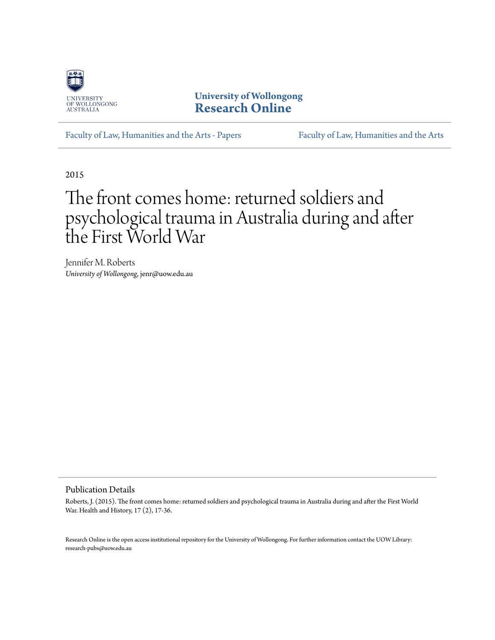

**University of Wollongong [Research Online](http://ro.uow.edu.au)**

[Faculty of Law, Humanities and the Arts - Papers](http://ro.uow.edu.au/lhapapers) [Faculty of Law, Humanities and the Arts](http://ro.uow.edu.au/lha)

2015

# The front comes home: returned soldiers and psychological trauma in Australia during and after the First World War

Jennifer M. Roberts *University of Wollongong*, jenr@uow.edu.au

#### Publication Details

Roberts, J. (2015). The front comes home: returned soldiers and psychological trauma in Australia during and after the First World War. Health and History, 17 (2), 17-36.

Research Online is the open access institutional repository for the University of Wollongong. For further information contact the UOW Library: research-pubs@uow.edu.au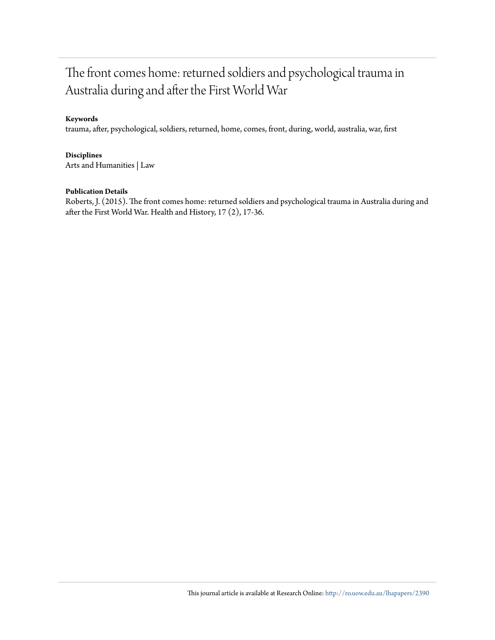## The front comes home: returned soldiers and psychological trauma in Australia during and after the First World War

#### **Keywords**

trauma, after, psychological, soldiers, returned, home, comes, front, during, world, australia, war, first

#### **Disciplines**

Arts and Humanities | Law

#### **Publication Details**

Roberts, J. (2015). The front comes home: returned soldiers and psychological trauma in Australia during and after the First World War. Health and History, 17 (2), 17-36.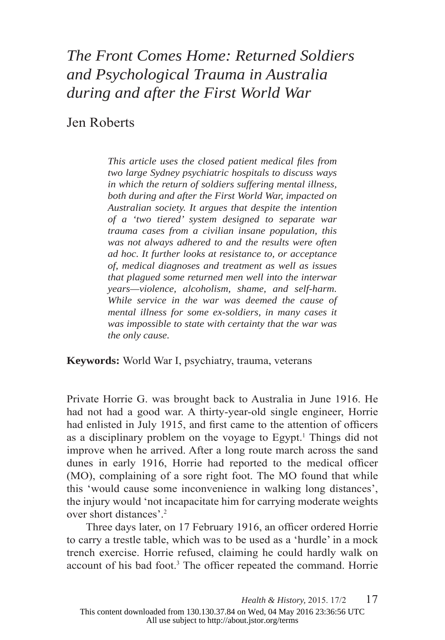## *The Front Comes Home: Returned Soldiers and Psychological Trauma in Australia during and after the First World War*

#### Jen Roberts

*This article uses the closed patient medical files from two large Sydney psychiatric hospitals to discuss ways in which the return of soldiers suffering mental illness, both during and after the First World War, impacted on Australian society. It argues that despite the intention of a 'two tiered' system designed to separate war trauma cases from a civilian insane population, this was not always adhered to and the results were often ad hoc. It further looks at resistance to, or acceptance of, medical diagnoses and treatment as well as issues that plagued some returned men well into the interwar years—violence, alcoholism, shame, and self-harm. While service in the war was deemed the cause of mental illness for some ex-soldiers, in many cases it was impossible to state with certainty that the war was the only cause.*

**Keywords:** World War I, psychiatry, trauma, veterans

Private Horrie G. was brought back to Australia in June 1916. He had not had a good war. A thirty-year-old single engineer, Horrie had enlisted in July 1915, and first came to the attention of officers as a disciplinary problem on the voyage to Egypt.<sup>1</sup> Things did not improve when he arrived. After a long route march across the sand dunes in early 1916, Horrie had reported to the medical officer (MO), complaining of a sore right foot. The MO found that while this 'would cause some inconvenience in walking long distances', the injury would 'not incapacitate him for carrying moderate weights over short distances'.2

Three days later, on 17 February 1916, an officer ordered Horrie to carry a trestle table, which was to be used as a 'hurdle' in a mock trench exercise. Horrie refused, claiming he could hardly walk on account of his bad foot.<sup>3</sup> The officer repeated the command. Horrie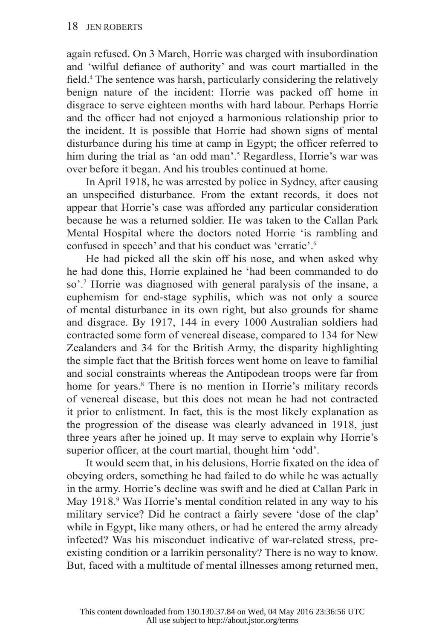again refused. On 3 March, Horrie was charged with insubordination and 'wilful defiance of authority' and was court martialled in the field.<sup>4</sup> The sentence was harsh, particularly considering the relatively benign nature of the incident: Horrie was packed off home in disgrace to serve eighteen months with hard labour. Perhaps Horrie and the officer had not enjoyed a harmonious relationship prior to the incident. It is possible that Horrie had shown signs of mental disturbance during his time at camp in Egypt; the officer referred to him during the trial as 'an odd man'.<sup>5</sup> Regardless, Horrie's war was over before it began. And his troubles continued at home.

In April 1918, he was arrested by police in Sydney, after causing an unspecified disturbance. From the extant records, it does not appear that Horrie's case was afforded any particular consideration because he was a returned soldier. He was taken to the Callan Park Mental Hospital where the doctors noted Horrie 'is rambling and confused in speech' and that his conduct was 'erratic'.6

He had picked all the skin off his nose, and when asked why he had done this, Horrie explained he 'had been commanded to do so'.7 Horrie was diagnosed with general paralysis of the insane, a euphemism for end-stage syphilis, which was not only a source of mental disturbance in its own right, but also grounds for shame and disgrace. By 1917, 144 in every 1000 Australian soldiers had contracted some form of venereal disease, compared to 134 for New Zealanders and 34 for the British Army, the disparity highlighting the simple fact that the British forces went home on leave to familial and social constraints whereas the Antipodean troops were far from home for years.<sup>8</sup> There is no mention in Horrie's military records of venereal disease, but this does not mean he had not contracted it prior to enlistment. In fact, this is the most likely explanation as the progression of the disease was clearly advanced in 1918, just three years after he joined up. It may serve to explain why Horrie's superior officer, at the court martial, thought him 'odd'.

It would seem that, in his delusions, Horrie fixated on the idea of obeying orders, something he had failed to do while he was actually in the army. Horrie's decline was swift and he died at Callan Park in May 1918.<sup>9</sup> Was Horrie's mental condition related in any way to his military service? Did he contract a fairly severe 'dose of the clap' while in Egypt, like many others, or had he entered the army already infected? Was his misconduct indicative of war-related stress, preexisting condition or a larrikin personality? There is no way to know. But, faced with a multitude of mental illnesses among returned men,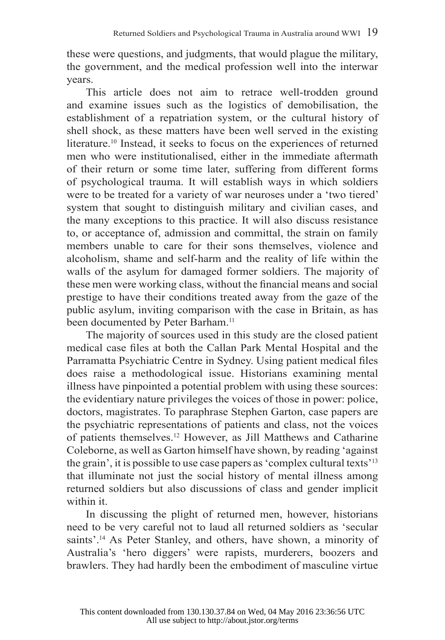these were questions, and judgments, that would plague the military, the government, and the medical profession well into the interwar years.

This article does not aim to retrace well-trodden ground and examine issues such as the logistics of demobilisation, the establishment of a repatriation system, or the cultural history of shell shock, as these matters have been well served in the existing literature.10 Instead, it seeks to focus on the experiences of returned men who were institutionalised, either in the immediate aftermath of their return or some time later, suffering from different forms of psychological trauma. It will establish ways in which soldiers were to be treated for a variety of war neuroses under a 'two tiered' system that sought to distinguish military and civilian cases, and the many exceptions to this practice. It will also discuss resistance to, or acceptance of, admission and committal, the strain on family members unable to care for their sons themselves, violence and alcoholism, shame and self-harm and the reality of life within the walls of the asylum for damaged former soldiers. The majority of these men were working class, without the financial means and social prestige to have their conditions treated away from the gaze of the public asylum, inviting comparison with the case in Britain, as has been documented by Peter Barham.<sup>11</sup>

The majority of sources used in this study are the closed patient medical case files at both the Callan Park Mental Hospital and the Parramatta Psychiatric Centre in Sydney. Using patient medical files does raise a methodological issue. Historians examining mental illness have pinpointed a potential problem with using these sources: the evidentiary nature privileges the voices of those in power: police, doctors, magistrates. To paraphrase Stephen Garton, case papers are the psychiatric representations of patients and class, not the voices of patients themselves.12 However, as Jill Matthews and Catharine Coleborne, as well as Garton himself have shown, by reading 'against the grain', it is possible to use case papers as 'complex cultural texts'13 that illuminate not just the social history of mental illness among returned soldiers but also discussions of class and gender implicit within it.

In discussing the plight of returned men, however, historians need to be very careful not to laud all returned soldiers as 'secular saints'.<sup>14</sup> As Peter Stanley, and others, have shown, a minority of Australia's 'hero diggers' were rapists, murderers, boozers and brawlers. They had hardly been the embodiment of masculine virtue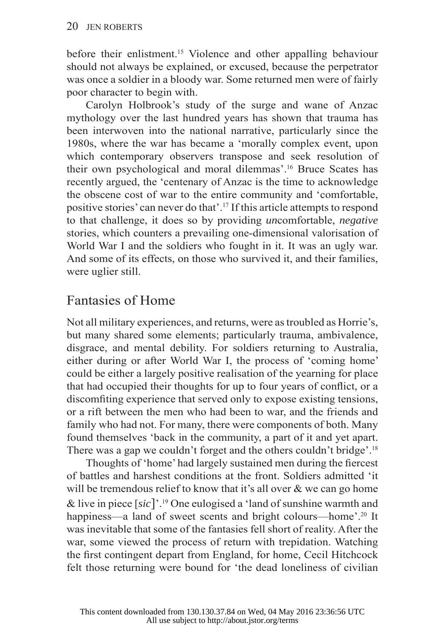before their enlistment.15 Violence and other appalling behaviour should not always be explained, or excused, because the perpetrator was once a soldier in a bloody war. Some returned men were of fairly poor character to begin with.

Carolyn Holbrook's study of the surge and wane of Anzac mythology over the last hundred years has shown that trauma has been interwoven into the national narrative, particularly since the 1980s, where the war has became a 'morally complex event, upon which contemporary observers transpose and seek resolution of their own psychological and moral dilemmas'.16 Bruce Scates has recently argued, the 'centenary of Anzac is the time to acknowledge the obscene cost of war to the entire community and 'comfortable, positive stories' can never do that'.17 If this article attempts to respond to that challenge, it does so by providing *un*comfortable, *negative* stories, which counters a prevailing one-dimensional valorisation of World War I and the soldiers who fought in it. It was an ugly war. And some of its effects, on those who survived it, and their families, were uglier still.

#### Fantasies of Home

Not all military experiences, and returns, were as troubled as Horrie's, but many shared some elements; particularly trauma, ambivalence, disgrace, and mental debility. For soldiers returning to Australia, either during or after World War I, the process of 'coming home' could be either a largely positive realisation of the yearning for place that had occupied their thoughts for up to four years of conflict, or a discomfitting experience that served only to expose existing tensions, or a rift between the men who had been to war, and the friends and family who had not. For many, there were components of both. Many found themselves 'back in the community, a part of it and yet apart. There was a gap we couldn't forget and the others couldn't bridge'.<sup>18</sup>

Thoughts of 'home' had largely sustained men during the fiercest of battles and harshest conditions at the front. Soldiers admitted 'it will be tremendous relief to know that it's all over  $\&$  we can go home & live in piece [*sic*]'.19 One eulogised a 'land of sunshine warmth and happiness—a land of sweet scents and bright colours—home'.<sup>20</sup> It was inevitable that some of the fantasies fell short of reality. After the war, some viewed the process of return with trepidation. Watching the first contingent depart from England, for home, Cecil Hitchcock felt those returning were bound for 'the dead loneliness of civilian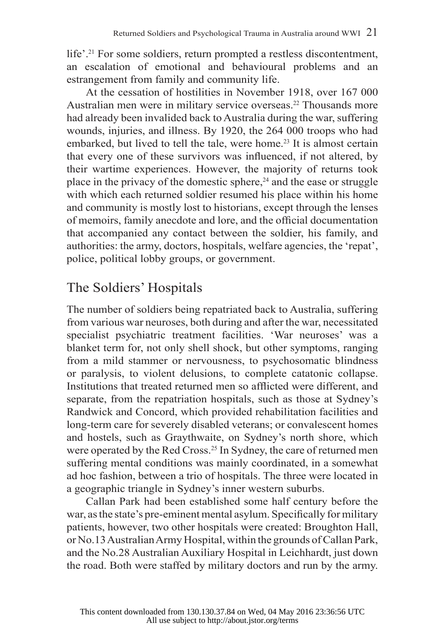life'.21 For some soldiers, return prompted a restless discontentment, an escalation of emotional and behavioural problems and an estrangement from family and community life.

At the cessation of hostilities in November 1918, over 167 000 Australian men were in military service overseas.<sup>22</sup> Thousands more had already been invalided back to Australia during the war, suffering wounds, injuries, and illness. By 1920, the 264 000 troops who had embarked, but lived to tell the tale, were home.<sup>23</sup> It is almost certain that every one of these survivors was influenced, if not altered, by their wartime experiences. However, the majority of returns took place in the privacy of the domestic sphere,<sup>24</sup> and the ease or struggle with which each returned soldier resumed his place within his home and community is mostly lost to historians, except through the lenses of memoirs, family anecdote and lore, and the official documentation that accompanied any contact between the soldier, his family, and authorities: the army, doctors, hospitals, welfare agencies, the 'repat', police, political lobby groups, or government.

## The Soldiers' Hospitals

The number of soldiers being repatriated back to Australia, suffering from various war neuroses, both during and after the war, necessitated specialist psychiatric treatment facilities. 'War neuroses' was a blanket term for, not only shell shock, but other symptoms, ranging from a mild stammer or nervousness, to psychosomatic blindness or paralysis, to violent delusions, to complete catatonic collapse. Institutions that treated returned men so afflicted were different, and separate, from the repatriation hospitals, such as those at Sydney's Randwick and Concord, which provided rehabilitation facilities and long-term care for severely disabled veterans; or convalescent homes and hostels, such as Graythwaite, on Sydney's north shore, which were operated by the Red Cross.<sup>25</sup> In Sydney, the care of returned men suffering mental conditions was mainly coordinated, in a somewhat ad hoc fashion, between a trio of hospitals. The three were located in a geographic triangle in Sydney's inner western suburbs.

Callan Park had been established some half century before the war, as the state's pre-eminent mental asylum. Specifically for military patients, however, two other hospitals were created: Broughton Hall, or No.13 Australian Army Hospital, within the grounds of Callan Park, and the No.28 Australian Auxiliary Hospital in Leichhardt, just down the road. Both were staffed by military doctors and run by the army.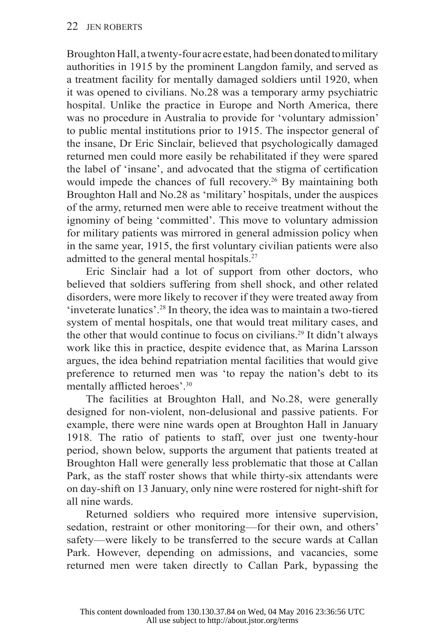Broughton Hall, a twenty-four acre estate, had been donated to military authorities in 1915 by the prominent Langdon family, and served as a treatment facility for mentally damaged soldiers until 1920, when it was opened to civilians. No.28 was a temporary army psychiatric hospital. Unlike the practice in Europe and North America, there was no procedure in Australia to provide for 'voluntary admission' to public mental institutions prior to 1915. The inspector general of the insane, Dr Eric Sinclair, believed that psychologically damaged returned men could more easily be rehabilitated if they were spared the label of 'insane', and advocated that the stigma of certification would impede the chances of full recovery.<sup>26</sup> By maintaining both Broughton Hall and No.28 as 'military' hospitals, under the auspices of the army, returned men were able to receive treatment without the ignominy of being 'committed'. This move to voluntary admission for military patients was mirrored in general admission policy when in the same year, 1915, the first voluntary civilian patients were also admitted to the general mental hospitals.<sup>27</sup>

Eric Sinclair had a lot of support from other doctors, who believed that soldiers suffering from shell shock, and other related disorders, were more likely to recover if they were treated away from 'inveterate lunatics'.28 In theory, the idea was to maintain a two-tiered system of mental hospitals, one that would treat military cases, and the other that would continue to focus on civilians.29 It didn't always work like this in practice, despite evidence that, as Marina Larsson argues, the idea behind repatriation mental facilities that would give preference to returned men was 'to repay the nation's debt to its mentally afflicted heroes'.<sup>30</sup>

The facilities at Broughton Hall, and No.28, were generally designed for non-violent, non-delusional and passive patients. For example, there were nine wards open at Broughton Hall in January 1918. The ratio of patients to staff, over just one twenty-hour period, shown below, supports the argument that patients treated at Broughton Hall were generally less problematic that those at Callan Park, as the staff roster shows that while thirty-six attendants were on day-shift on 13 January, only nine were rostered for night-shift for all nine wards.

Returned soldiers who required more intensive supervision, sedation, restraint or other monitoring—for their own, and others' safety—were likely to be transferred to the secure wards at Callan Park. However, depending on admissions, and vacancies, some returned men were taken directly to Callan Park, bypassing the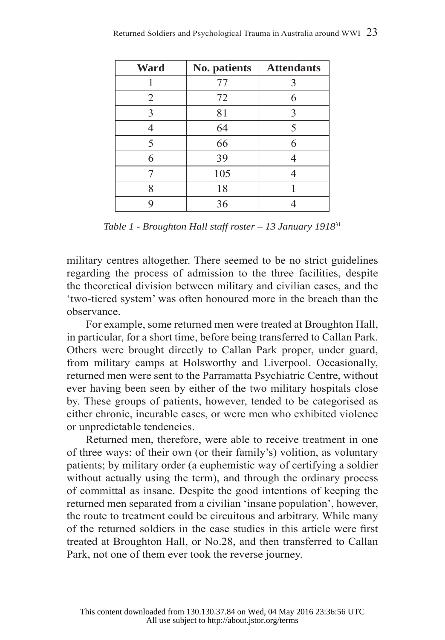| Ward           | No. patients | <b>Attendants</b> |
|----------------|--------------|-------------------|
|                | 77           | 3                 |
| $\overline{2}$ | 72           | 6                 |
| 3              | 81           | 3                 |
|                | 64           | 5                 |
| 5              | 66           | 6                 |
| 6              | 39           |                   |
|                | 105          |                   |
| 8              | 18           |                   |
|                | 36           |                   |

*Table 1 - Broughton Hall staff roster – 13 January 1918*<sup>31</sup>

military centres altogether. There seemed to be no strict guidelines regarding the process of admission to the three facilities, despite the theoretical division between military and civilian cases, and the 'two-tiered system' was often honoured more in the breach than the observance.

For example, some returned men were treated at Broughton Hall, in particular, for a short time, before being transferred to Callan Park. Others were brought directly to Callan Park proper, under guard, from military camps at Holsworthy and Liverpool. Occasionally, returned men were sent to the Parramatta Psychiatric Centre, without ever having been seen by either of the two military hospitals close by. These groups of patients, however, tended to be categorised as either chronic, incurable cases, or were men who exhibited violence or unpredictable tendencies.

Returned men, therefore, were able to receive treatment in one of three ways: of their own (or their family's) volition, as voluntary patients; by military order (a euphemistic way of certifying a soldier without actually using the term), and through the ordinary process of committal as insane. Despite the good intentions of keeping the returned men separated from a civilian 'insane population', however, the route to treatment could be circuitous and arbitrary. While many of the returned soldiers in the case studies in this article were first treated at Broughton Hall, or No.28, and then transferred to Callan Park, not one of them ever took the reverse journey.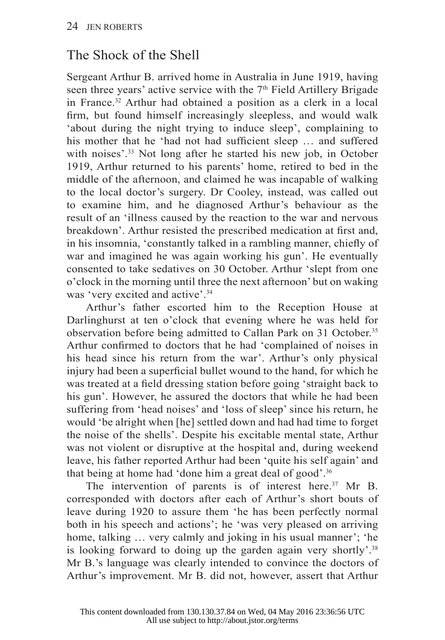## The Shock of the Shell

Sergeant Arthur B. arrived home in Australia in June 1919, having seen three years' active service with the 7<sup>th</sup> Field Artillery Brigade in France.32 Arthur had obtained a position as a clerk in a local firm, but found himself increasingly sleepless, and would walk 'about during the night trying to induce sleep', complaining to his mother that he 'had not had sufficient sleep ... and suffered with noises'.<sup>33</sup> Not long after he started his new job, in October 1919, Arthur returned to his parents' home, retired to bed in the middle of the afternoon, and claimed he was incapable of walking to the local doctor's surgery. Dr Cooley, instead, was called out to examine him, and he diagnosed Arthur's behaviour as the result of an 'illness caused by the reaction to the war and nervous breakdown'. Arthur resisted the prescribed medication at first and, in his insomnia, 'constantly talked in a rambling manner, chiefly of war and imagined he was again working his gun'. He eventually consented to take sedatives on 30 October. Arthur 'slept from one o'clock in the morning until three the next afternoon' but on waking was 'very excited and active'.<sup>34</sup>

Arthur's father escorted him to the Reception House at Darlinghurst at ten o'clock that evening where he was held for observation before being admitted to Callan Park on 31 October.<sup>35</sup> Arthur confirmed to doctors that he had 'complained of noises in his head since his return from the war'. Arthur's only physical injury had been a superficial bullet wound to the hand, for which he was treated at a field dressing station before going 'straight back to his gun'. However, he assured the doctors that while he had been suffering from 'head noises' and 'loss of sleep' since his return, he would 'be alright when [he] settled down and had had time to forget the noise of the shells'. Despite his excitable mental state, Arthur was not violent or disruptive at the hospital and, during weekend leave, his father reported Arthur had been 'quite his self again' and that being at home had 'done him a great deal of good'.<sup>36</sup>

The intervention of parents is of interest here. $37$  Mr B. corresponded with doctors after each of Arthur's short bouts of leave during 1920 to assure them 'he has been perfectly normal both in his speech and actions'; he 'was very pleased on arriving home, talking ... very calmly and joking in his usual manner'; 'he is looking forward to doing up the garden again very shortly'.<sup>38</sup> Mr B.'s language was clearly intended to convince the doctors of Arthur's improvement. Mr B. did not, however, assert that Arthur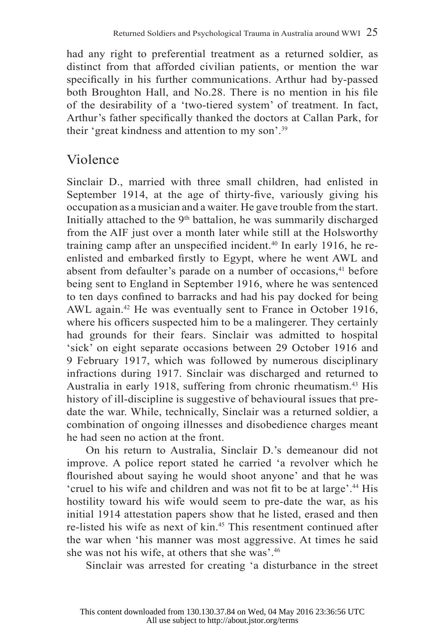had any right to preferential treatment as a returned soldier, as distinct from that afforded civilian patients, or mention the war specifically in his further communications. Arthur had by-passed both Broughton Hall, and No.28. There is no mention in his file of the desirability of a 'two-tiered system' of treatment. In fact, Arthur's father specifically thanked the doctors at Callan Park, for their 'great kindness and attention to my son'.39

## Violence

Sinclair D., married with three small children, had enlisted in September 1914, at the age of thirty-five, variously giving his occupation as a musician and a waiter. He gave trouble from the start. Initially attached to the  $9<sup>th</sup>$  battalion, he was summarily discharged from the AIF just over a month later while still at the Holsworthy training camp after an unspecified incident.<sup>40</sup> In early 1916, he reenlisted and embarked firstly to Egypt, where he went AWL and absent from defaulter's parade on a number of occasions,<sup>41</sup> before being sent to England in September 1916, where he was sentenced to ten days confined to barracks and had his pay docked for being AWL again.<sup>42</sup> He was eventually sent to France in October 1916, where his officers suspected him to be a malingerer. They certainly had grounds for their fears. Sinclair was admitted to hospital 'sick' on eight separate occasions between 29 October 1916 and 9 February 1917, which was followed by numerous disciplinary infractions during 1917. Sinclair was discharged and returned to Australia in early 1918, suffering from chronic rheumatism.43 His history of ill-discipline is suggestive of behavioural issues that predate the war. While, technically, Sinclair was a returned soldier, a combination of ongoing illnesses and disobedience charges meant he had seen no action at the front.

On his return to Australia, Sinclair D.'s demeanour did not improve. A police report stated he carried 'a revolver which he flourished about saying he would shoot anyone' and that he was 'cruel to his wife and children and was not fit to be at large'.<sup>44</sup> His hostility toward his wife would seem to pre-date the war, as his initial 1914 attestation papers show that he listed, erased and then re-listed his wife as next of kin.45 This resentment continued after the war when 'his manner was most aggressive. At times he said she was not his wife, at others that she was'.46

Sinclair was arrested for creating 'a disturbance in the street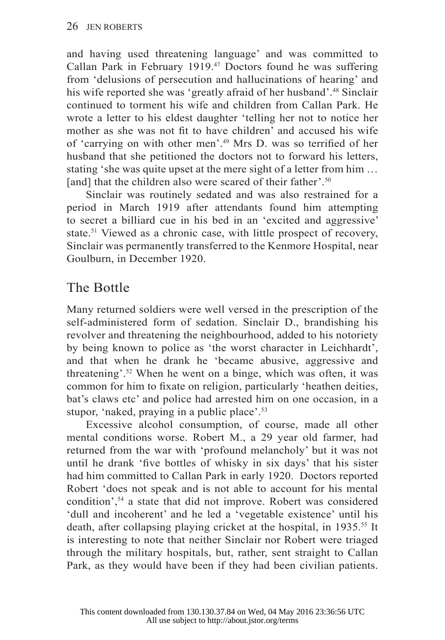and having used threatening language' and was committed to Callan Park in February 1919.47 Doctors found he was suffering from 'delusions of persecution and hallucinations of hearing' and his wife reported she was 'greatly afraid of her husband'.<sup>48</sup> Sinclair continued to torment his wife and children from Callan Park. He wrote a letter to his eldest daughter 'telling her not to notice her mother as she was not fit to have children' and accused his wife of 'carrying on with other men'.<sup>49</sup> Mrs D, was so terrified of her husband that she petitioned the doctors not to forward his letters, stating 'she was quite upset at the mere sight of a letter from him … [and] that the children also were scared of their father'.<sup>50</sup>

Sinclair was routinely sedated and was also restrained for a period in March 1919 after attendants found him attempting to secret a billiard cue in his bed in an 'excited and aggressive' state.<sup>51</sup> Viewed as a chronic case, with little prospect of recovery. Sinclair was permanently transferred to the Kenmore Hospital, near Goulburn, in December 1920.

## The Bottle

Many returned soldiers were well versed in the prescription of the self-administered form of sedation. Sinclair D., brandishing his revolver and threatening the neighbourhood, added to his notoriety by being known to police as 'the worst character in Leichhardt', and that when he drank he 'became abusive, aggressive and threatening'.52 When he went on a binge, which was often, it was common for him to fixate on religion, particularly 'heathen deities, bat's claws etc' and police had arrested him on one occasion, in a stupor, 'naked, praying in a public place'.<sup>53</sup>

Excessive alcohol consumption, of course, made all other mental conditions worse. Robert M., a 29 year old farmer, had returned from the war with 'profound melancholy' but it was not until he drank 'five bottles of whisky in six days' that his sister had him committed to Callan Park in early 1920. Doctors reported Robert 'does not speak and is not able to account for his mental condition',54 a state that did not improve. Robert was considered 'dull and incoherent' and he led a 'vegetable existence' until his death, after collapsing playing cricket at the hospital, in 1935.<sup>55</sup> It is interesting to note that neither Sinclair nor Robert were triaged through the military hospitals, but, rather, sent straight to Callan Park, as they would have been if they had been civilian patients.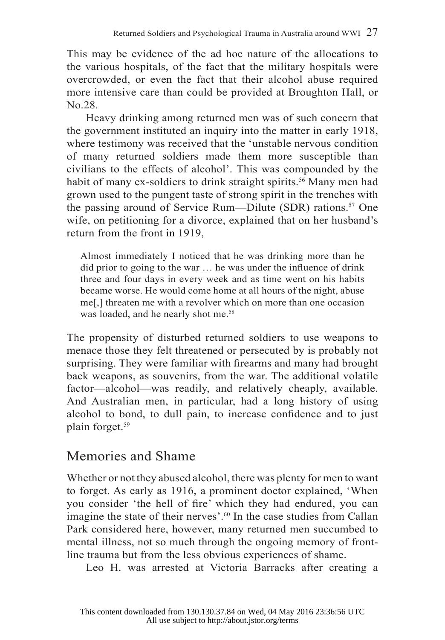This may be evidence of the ad hoc nature of the allocations to the various hospitals, of the fact that the military hospitals were overcrowded, or even the fact that their alcohol abuse required more intensive care than could be provided at Broughton Hall, or No.28.

Heavy drinking among returned men was of such concern that the government instituted an inquiry into the matter in early 1918, where testimony was received that the 'unstable nervous condition of many returned soldiers made them more susceptible than civilians to the effects of alcohol'. This was compounded by the habit of many ex-soldiers to drink straight spirits.<sup>56</sup> Many men had grown used to the pungent taste of strong spirit in the trenches with the passing around of Service Rum—Dilute (SDR) rations.<sup>57</sup> One wife, on petitioning for a divorce, explained that on her husband's return from the front in 1919,

Almost immediately I noticed that he was drinking more than he did prior to going to the war  $\dots$  he was under the influence of drink three and four days in every week and as time went on his habits became worse. He would come home at all hours of the night, abuse me[,] threaten me with a revolver which on more than one occasion was loaded, and he nearly shot me.<sup>58</sup>

The propensity of disturbed returned soldiers to use weapons to menace those they felt threatened or persecuted by is probably not surprising. They were familiar with firearms and many had brought back weapons, as souvenirs, from the war. The additional volatile factor—alcohol—was readily, and relatively cheaply, available. And Australian men, in particular, had a long history of using alcohol to bond, to dull pain, to increase confidence and to just plain forget.59

## Memories and Shame

Whether or not they abused alcohol, there was plenty for men to want to forget. As early as 1916, a prominent doctor explained, 'When you consider 'the hell of fire' which they had endured, you can imagine the state of their nerves'.<sup>60</sup> In the case studies from Callan Park considered here, however, many returned men succumbed to mental illness, not so much through the ongoing memory of frontline trauma but from the less obvious experiences of shame.

Leo H. was arrested at Victoria Barracks after creating a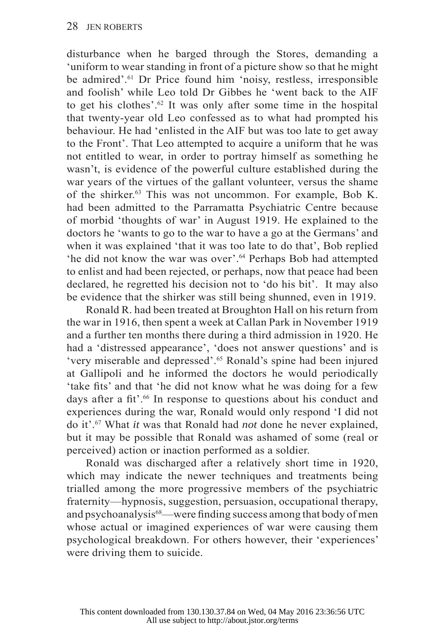disturbance when he barged through the Stores, demanding a 'uniform to wear standing in front of a picture show so that he might be admired'.<sup>61</sup> Dr Price found him 'noisy, restless, irresponsible and foolish' while Leo told Dr Gibbes he 'went back to the AIF to get his clothes'.62 It was only after some time in the hospital that twenty-year old Leo confessed as to what had prompted his behaviour. He had 'enlisted in the AIF but was too late to get away to the Front'. That Leo attempted to acquire a uniform that he was not entitled to wear, in order to portray himself as something he wasn't, is evidence of the powerful culture established during the war years of the virtues of the gallant volunteer, versus the shame of the shirker.63 This was not uncommon. For example, Bob K. had been admitted to the Parramatta Psychiatric Centre because of morbid 'thoughts of war' in August 1919. He explained to the doctors he 'wants to go to the war to have a go at the Germans' and when it was explained 'that it was too late to do that'. Bob replied 'he did not know the war was over'.64 Perhaps Bob had attempted to enlist and had been rejected, or perhaps, now that peace had been declared, he regretted his decision not to 'do his bit'. It may also be evidence that the shirker was still being shunned, even in 1919.

Ronald R. had been treated at Broughton Hall on his return from the war in 1916, then spent a week at Callan Park in November 1919 and a further ten months there during a third admission in 1920. He had a 'distressed appearance', 'does not answer questions' and is 'very miserable and depressed'.65 Ronald's spine had been injured at Gallipoli and he informed the doctors he would periodically 'take fits' and that 'he did not know what he was doing for a few days after a fit'.<sup>66</sup> In response to questions about his conduct and experiences during the war, Ronald would only respond 'I did not do it'.67 What *it* was that Ronald had *not* done he never explained, but it may be possible that Ronald was ashamed of some (real or perceived) action or inaction performed as a soldier.

Ronald was discharged after a relatively short time in 1920, which may indicate the newer techniques and treatments being trialled among the more progressive members of the psychiatric fraternity—hypnosis, suggestion, persuasion, occupational therapy, and psychoanalysis<sup>68</sup>—were finding success among that body of men whose actual or imagined experiences of war were causing them psychological breakdown. For others however, their 'experiences' were driving them to suicide.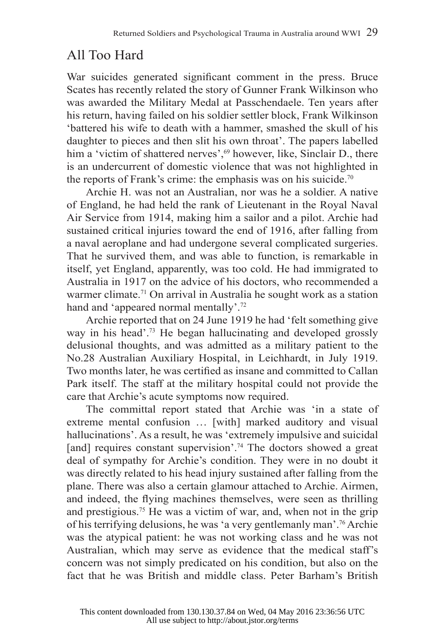## All Too Hard

War suicides generated significant comment in the press. Bruce Scates has recently related the story of Gunner Frank Wilkinson who was awarded the Military Medal at Passchendaele. Ten years after his return, having failed on his soldier settler block, Frank Wilkinson 'battered his wife to death with a hammer, smashed the skull of his daughter to pieces and then slit his own throat'. The papers labelled him a 'victim of shattered nerves',<sup>69</sup> however, like, Sinclair D., there is an undercurrent of domestic violence that was not highlighted in the reports of Frank's crime: the emphasis was on his suicide.<sup>70</sup>

Archie H. was not an Australian, nor was he a soldier. A native of England, he had held the rank of Lieutenant in the Royal Naval Air Service from 1914, making him a sailor and a pilot. Archie had sustained critical injuries toward the end of 1916, after falling from a naval aeroplane and had undergone several complicated surgeries. That he survived them, and was able to function, is remarkable in itself, yet England, apparently, was too cold. He had immigrated to Australia in 1917 on the advice of his doctors, who recommended a warmer climate.<sup>71</sup> On arrival in Australia he sought work as a station hand and 'appeared normal mentally'.<sup>72</sup>

Archie reported that on 24 June 1919 he had 'felt something give way in his head'.<sup>73</sup> He began hallucinating and developed grossly delusional thoughts, and was admitted as a military patient to the No.28 Australian Auxiliary Hospital, in Leichhardt, in July 1919. Two months later, he was certified as insane and committed to Callan Park itself. The staff at the military hospital could not provide the care that Archie's acute symptoms now required.

The committal report stated that Archie was 'in a state of extreme mental confusion … [with] marked auditory and visual hallucinations'. As a result, he was 'extremely impulsive and suicidal [and] requires constant supervision'.<sup>74</sup> The doctors showed a great deal of sympathy for Archie's condition. They were in no doubt it was directly related to his head injury sustained after falling from the plane. There was also a certain glamour attached to Archie. Airmen, and indeed, the flying machines themselves, were seen as thrilling and prestigious.<sup>75</sup> He was a victim of war, and, when not in the grip of his terrifying delusions, he was 'a very gentlemanly man'.76 Archie was the atypical patient: he was not working class and he was not Australian, which may serve as evidence that the medical staff's concern was not simply predicated on his condition, but also on the fact that he was British and middle class. Peter Barham's British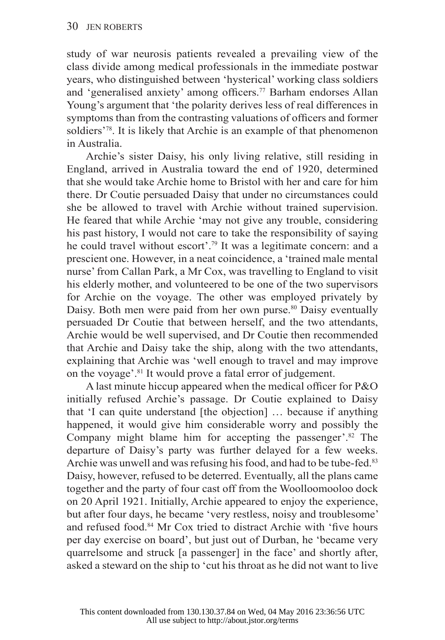study of war neurosis patients revealed a prevailing view of the class divide among medical professionals in the immediate postwar years, who distinguished between 'hysterical' working class soldiers and 'generalised anxiety' among officers.<sup>77</sup> Barham endorses Allan Young's argument that 'the polarity derives less of real differences in symptoms than from the contrasting valuations of officers and former soldiers<sup>'78</sup>. It is likely that Archie is an example of that phenomenon in Australia.

Archie's sister Daisy, his only living relative, still residing in England, arrived in Australia toward the end of 1920, determined that she would take Archie home to Bristol with her and care for him there. Dr Coutie persuaded Daisy that under no circumstances could she be allowed to travel with Archie without trained supervision. He feared that while Archie 'may not give any trouble, considering his past history, I would not care to take the responsibility of saying he could travel without escort'.79 It was a legitimate concern: and a prescient one. However, in a neat coincidence, a 'trained male mental nurse' from Callan Park, a Mr Cox, was travelling to England to visit his elderly mother, and volunteered to be one of the two supervisors for Archie on the voyage. The other was employed privately by Daisy. Both men were paid from her own purse.<sup>80</sup> Daisy eventually persuaded Dr Coutie that between herself, and the two attendants, Archie would be well supervised, and Dr Coutie then recommended that Archie and Daisy take the ship, along with the two attendants, explaining that Archie was 'well enough to travel and may improve on the voyage'.81 It would prove a fatal error of judgement.

A last minute hiccup appeared when the medical officer for  $P&O$ initially refused Archie's passage. Dr Coutie explained to Daisy that 'I can quite understand [the objection] … because if anything happened, it would give him considerable worry and possibly the Company might blame him for accepting the passenger'. $82$  The departure of Daisy's party was further delayed for a few weeks. Archie was unwell and was refusing his food, and had to be tube-fed.<sup>83</sup> Daisy, however, refused to be deterred. Eventually, all the plans came together and the party of four cast off from the Woolloomooloo dock on 20 April 1921. Initially, Archie appeared to enjoy the experience, but after four days, he became 'very restless, noisy and troublesome' and refused food.<sup>84</sup> Mr Cox tried to distract Archie with 'five hours per day exercise on board', but just out of Durban, he 'became very quarrelsome and struck [a passenger] in the face' and shortly after, asked a steward on the ship to 'cut his throat as he did not want to live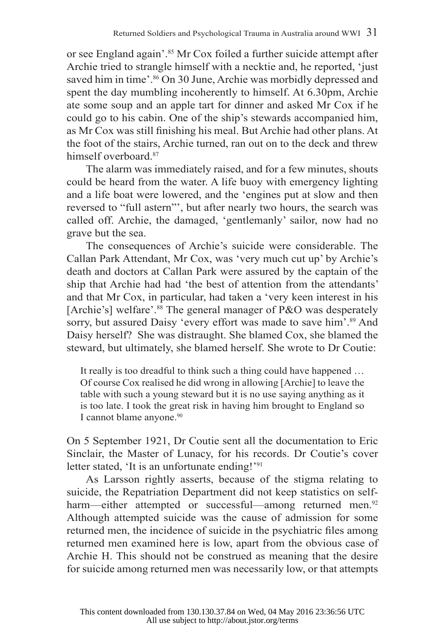or see England again'.85 Mr Cox foiled a further suicide attempt after Archie tried to strangle himself with a necktie and, he reported, 'just saved him in time'.<sup>86</sup> On 30 June, Archie was morbidly depressed and spent the day mumbling incoherently to himself. At 6.30pm, Archie ate some soup and an apple tart for dinner and asked Mr Cox if he could go to his cabin. One of the ship's stewards accompanied him, as Mr Cox was still finishing his meal. But Archie had other plans. At the foot of the stairs, Archie turned, ran out on to the deck and threw himself overboard<sup>87</sup>

The alarm was immediately raised, and for a few minutes, shouts could be heard from the water. A life buoy with emergency lighting and a life boat were lowered, and the 'engines put at slow and then reversed to "full astern"', but after nearly two hours, the search was called off. Archie, the damaged, 'gentlemanly' sailor, now had no grave but the sea.

The consequences of Archie's suicide were considerable. The Callan Park Attendant, Mr Cox, was 'very much cut up' by Archie's death and doctors at Callan Park were assured by the captain of the ship that Archie had had 'the best of attention from the attendants' and that Mr Cox, in particular, had taken a 'very keen interest in his [Archie's] welfare'.<sup>88</sup> The general manager of  $P&O$  was desperately sorry, but assured Daisy 'every effort was made to save him'.<sup>89</sup> And Daisy herself? She was distraught. She blamed Cox, she blamed the steward, but ultimately, she blamed herself. She wrote to Dr Coutie:

It really is too dreadful to think such a thing could have happened … Of course Cox realised he did wrong in allowing [Archie] to leave the table with such a young steward but it is no use saying anything as it is too late. I took the great risk in having him brought to England so I cannot blame anyone.<sup>90</sup>

On 5 September 1921, Dr Coutie sent all the documentation to Eric Sinclair, the Master of Lunacy, for his records. Dr Coutie's cover letter stated, 'It is an unfortunate ending!'<sup>91</sup>

As Larsson rightly asserts, because of the stigma relating to suicide, the Repatriation Department did not keep statistics on selfharm—either attempted or successful—among returned men.<sup>92</sup> Although attempted suicide was the cause of admission for some returned men, the incidence of suicide in the psychiatric files among returned men examined here is low, apart from the obvious case of Archie H. This should not be construed as meaning that the desire for suicide among returned men was necessarily low, or that attempts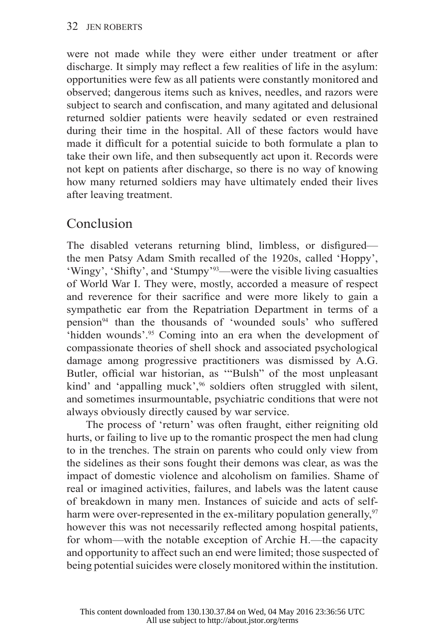were not made while they were either under treatment or after discharge. It simply may reflect a few realities of life in the asylum: opportunities were few as all patients were constantly monitored and observed; dangerous items such as knives, needles, and razors were subject to search and confiscation, and many agitated and delusional returned soldier patients were heavily sedated or even restrained during their time in the hospital. All of these factors would have made it difficult for a potential suicide to both formulate a plan to take their own life, and then subsequently act upon it. Records were not kept on patients after discharge, so there is no way of knowing how many returned soldiers may have ultimately ended their lives after leaving treatment.

## Conclusion

The disabled veterans returning blind, limbless, or disfigured the men Patsy Adam Smith recalled of the 1920s, called 'Hoppy', 'Wingy', 'Shifty', and 'Stumpy'93—were the visible living casualties of World War I. They were, mostly, accorded a measure of respect and reverence for their sacrifice and were more likely to gain a sympathetic ear from the Repatriation Department in terms of a pension94 than the thousands of 'wounded souls' who suffered 'hidden wounds'.95 Coming into an era when the development of compassionate theories of shell shock and associated psychological damage among progressive practitioners was dismissed by A.G. Butler, official war historian, as "Bulsh" of the most unpleasant kind' and 'appalling muck',<sup>96</sup> soldiers often struggled with silent, and sometimes insurmountable, psychiatric conditions that were not always obviously directly caused by war service.

The process of 'return' was often fraught, either reigniting old hurts, or failing to live up to the romantic prospect the men had clung to in the trenches. The strain on parents who could only view from the sidelines as their sons fought their demons was clear, as was the impact of domestic violence and alcoholism on families. Shame of real or imagined activities, failures, and labels was the latent cause of breakdown in many men. Instances of suicide and acts of selfharm were over-represented in the ex-military population generally,  $97$ however this was not necessarily reflected among hospital patients, for whom—with the notable exception of Archie H.—the capacity and opportunity to affect such an end were limited; those suspected of being potential suicides were closely monitored within the institution.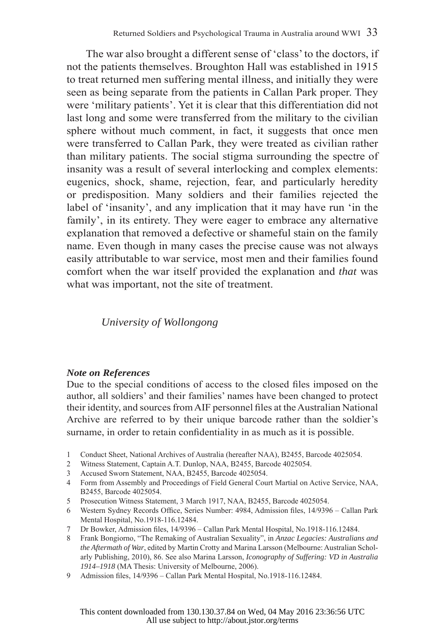The war also brought a different sense of 'class' to the doctors, if not the patients themselves. Broughton Hall was established in 1915 to treat returned men suffering mental illness, and initially they were seen as being separate from the patients in Callan Park proper. They were 'military patients'. Yet it is clear that this differentiation did not last long and some were transferred from the military to the civilian sphere without much comment, in fact, it suggests that once men were transferred to Callan Park, they were treated as civilian rather than military patients. The social stigma surrounding the spectre of insanity was a result of several interlocking and complex elements: eugenics, shock, shame, rejection, fear, and particularly heredity or predisposition. Many soldiers and their families rejected the label of 'insanity', and any implication that it may have run 'in the family', in its entirety. They were eager to embrace any alternative explanation that removed a defective or shameful stain on the family name. Even though in many cases the precise cause was not always easily attributable to war service, most men and their families found comfort when the war itself provided the explanation and *that* was what was important, not the site of treatment.

*University of Wollongong*

#### *Note on References*

Due to the special conditions of access to the closed files imposed on the author, all soldiers' and their families' names have been changed to protect their identity, and sources from AIF personnel files at the Australian National Archive are referred to by their unique barcode rather than the soldier's surname, in order to retain confidentiality in as much as it is possible.

- 1 Conduct Sheet, National Archives of Australia (hereafter NAA), B2455, Barcode 4025054.
- 2 Witness Statement, Captain A.T. Dunlop, NAA, B2455, Barcode 4025054.
- 3 Accused Sworn Statement, NAA, B2455, Barcode 4025054.
- 4 Form from Assembly and Proceedings of Field General Court Martial on Active Service, NAA, B2455, Barcode 4025054.
- 5 Prosecution Witness Statement, 3 March 1917, NAA, B2455, Barcode 4025054.
- 6 Western Sydney Records Office, Series Number: 4984, Admission files, 14/9396 Callan Park Mental Hospital, No.1918-116.12484.
- 7 Dr Bowker, Admission files, 14/9396 Callan Park Mental Hospital, No.1918-116.12484.
- 8 Frank Bongiorno, "The Remaking of Australian Sexuality", in *Anzac Legacies: Australians and the Aftermath of War*, edited by Martin Crotty and Marina Larsson (Melbourne: Australian Scholarly Publishing, 2010), 86. See also Marina Larsson, *Iconography of Suffering: VD in Australia 1914–1918* (MA Thesis: University of Melbourne, 2006).
- 9 Admission files, 14/9396 Callan Park Mental Hospital, No.1918-116.12484.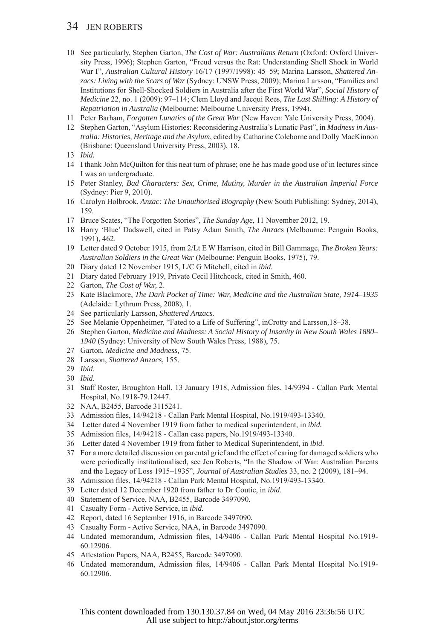#### 34 JEN ROBERTS

- 10 See particularly, Stephen Garton, *The Cost of War: Australians Return* (Oxford: Oxford University Press, 1996); Stephen Garton, "Freud versus the Rat: Understanding Shell Shock in World War I"*, Australian Cultural History* 16/17 (1997/1998): 45–59; Marina Larsson, *Shattered Anzacs: Living with the Scars of War* (Sydney: UNSW Press, 2009); Marina Larsson, "Families and Institutions for Shell-Shocked Soldiers in Australia after the First World War", *Social History of Medicine* 22, no. 1 (2009): 97–114; Clem Lloyd and Jacqui Rees, *The Last Shilling: A History of Repatriation in Australia* (Melbourne: Melbourne University Press, 1994).
- 11 Peter Barham, *Forgotten Lunatics of the Great War* (New Haven: Yale University Press, 2004).
- 12 Stephen Garton, "Asylum Histories: Reconsidering Australia's Lunatic Past", in *Madness in Australia: Histories, Heritage and the Asylum*, edited by Catharine Coleborne and Dolly MacKinnon (Brisbane: Queensland University Press, 2003), 18.
- 13 *Ibid.*
- 14 I thank John McQuilton for this neat turn of phrase; one he has made good use of in lectures since I was an undergraduate.
- 15 Peter Stanley, *Bad Characters: Sex, Crime, Mutiny, Murder in the Australian Imperial Force* (Sydney: Pier 9, 2010).
- 16 Carolyn Holbrook, *Anzac: The Unauthorised Biography* (New South Publishing: Sydney, 2014), 159.
- 17 Bruce Scates, "The Forgotten Stories", *The Sunday Age*, 11 November 2012, 19.
- 18 Harry 'Blue' Dadswell, cited in Patsy Adam Smith, *The Anzac*s (Melbourne: Penguin Books, 1991), 462.
- 19 Letter dated 9 October 1915, from 2/Lt E W Harrison, cited in Bill Gammage, *The Broken Years: Australian Soldiers in the Great War* (Melbourne: Penguin Books, 1975), 79.
- 20 Diary dated 12 November 1915, L/C G Mitchell, cited in *ibid*.
- 21 Diary dated February 1919, Private Cecil Hitchcock, cited in Smith, 460.
- 22 Garton, *The Cost of War,* 2.
- 23 Kate Blackmore, *The Dark Pocket of Time: War, Medicine and the Australian State, 1914–1935* (Adelaide: Lythrum Press, 2008), 1.
- 24 See particularly Larsson, *Shattered Anzacs.*
- 25 See Melanie Oppenheimer, "Fated to a Life of Suffering", inCrotty and Larsson*,*18–38.
- 26 Stephen Garton, *Medicine and Madness: A Social History of Insanity in New South Wales 1880– 1940* (Sydney: University of New South Wales Press, 1988), 75.
- 27 Garton, *Medicine and Madness,* 75.
- 28 Larsson, *Shattered Anzacs*, 155.
- 29 *Ibid*.
- 30 *Ibid.*
- 31 Staff Roster, Broughton Hall, 13 January 1918, Admission files, 14/9394 Callan Park Mental Hospital, No.1918-79.12447.
- 32 NAA, B2455, Barcode 3115241.
- 33 Admission files, 14/94218 Callan Park Mental Hospital, No.1919/493-13340.
- 34 Letter dated 4 November 1919 from father to medical superintendent, in *ibid.*
- 35 Admission files, 14/94218 Callan case papers, No.1919/493-13340.
- 36 Letter dated 4 November 1919 from father to Medical Superintendent, in *ibid*.
- 37 For a more detailed discussion on parental grief and the effect of caring for damaged soldiers who were periodically institutionalised, see Jen Roberts, "In the Shadow of War: Australian Parents and the Legacy of Loss 1915–1935", *Journal of Australian Studies* 33, no. 2 (2009), 181–94.
- 38 Admission files, 14/94218 Callan Park Mental Hospital, No.1919/493-13340.
- 39 Letter dated 12 December 1920 from father to Dr Coutie, in *ibid*.
- 40 Statement of Service, NAA, B2455, Barcode 3497090.
- 41 Casualty Form Active Service, in *ibid.*
- 42 Report, dated 16 September 1916, in Barcode 3497090*.*
- 43 Casualty Form Active Service, NAA, in Barcode 3497090*.*
- 44 Undated memorandum, Admission files, 14/9406 Callan Park Mental Hospital No.1919-60.12906.
- 45 Attestation Papers, NAA, B2455, Barcode 3497090.
- 46 Undated memorandum, Admission files, 14/9406 Callan Park Mental Hospital No.1919-60.12906.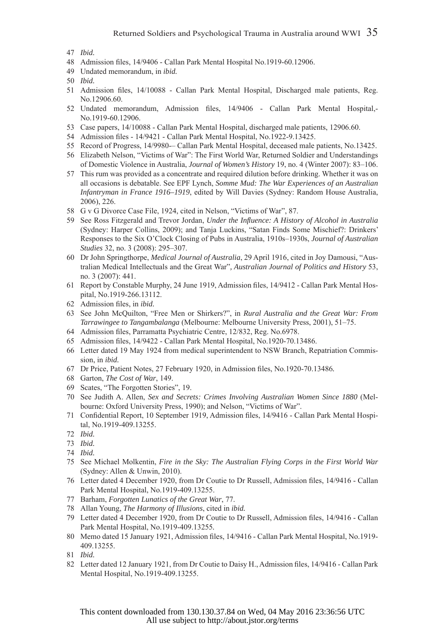- 48 Admission files, 14/9406 Callan Park Mental Hospital No.1919-60.12906.
- 49 Undated memorandum, in *ibid.*
- 50 *Ibid.*
- 51 Admission files, 14/10088 Callan Park Mental Hospital, Discharged male patients, Reg. No.12906.60.
- 52 Undated memorandum, Admission files, 14/9406 Callan Park Mental Hospital -No.1919-60.12906.
- 53 Case papers, 14/10088 Callan Park Mental Hospital, discharged male patients, 12906.60.
- 54 Admission files 14/9421 Callan Park Mental Hospital, No.1922-9.13425.
- 55 Record of Progress, 14/9980-– Callan Park Mental Hospital, deceased male patients, No.13425.
- 56 Elizabeth Nelson, "Victims of War": The First World War, Returned Soldier and Understandings of Domestic Violence in Australia, *Journal of Women's History* 19, no. 4 (Winter 2007): 83–106.
- 57 This rum was provided as a concentrate and required dilution before drinking. Whether it was on all occasions is debatable. See EPF Lynch, *Somme Mud: The War Experiences of an Australian Infantryman in France 1916–1919*, edited by Will Davies (Sydney: Random House Australia, 2006), 226.
- 58 G v G Divorce Case File, 1924, cited in Nelson, "Victims of War", 87.
- 59 See Ross Fitzgerald and Trevor Jordan, *Under the Influence: A History of Alcohol in Australia* (Sydney: Harper Collins, 2009); and Tanja Luckins, "Satan Finds Some Mischief?: Drinkers' Responses to the Six O'Clock Closing of Pubs in Australia, 1910s–1930s, *Journal of Australian Studies* 32, no. 3 (2008): 295–307.
- 60 Dr John Springthorpe, *Medical Journal of Australia*, 29 April 1916, cited in Joy Damousi, "Australian Medical Intellectuals and the Great War"*, Australian Journal of Politics and History* 53, no.  $3(2007)$ : 441.
- 61 Report by Constable Murphy, 24 June 1919, Admission files, 14/9412 Callan Park Mental Hospital, No.1919-266.13112.
- 62 Admission files, in *ibid.*
- 63 See John McQuilton, "Free Men or Shirkers?", in *Rural Australia and the Great War: From Tarrawingee to Tangambalanga* (Melbourne: Melbourne University Press, 2001), 51–75.
- 64 Admission files, Parramatta Psychiatric Centre, 12/832, Reg. No.6978.
- 65 Admission files, 14/9422 Callan Park Mental Hospital, No.1920-70.13486.
- 66 Letter dated 19 May 1924 from medical superintendent to NSW Branch, Repatriation Commission, in *ibid.*
- 67 Dr Price, Patient Notes, 27 February 1920, in Admission fi les, No.1920-70.13486*.*
- 68 Garton, *The Cost of War*, 149.
- 69 Scates, "The Forgotten Stories", 19.
- 70 See Judith A. Allen, *Sex and Secrets: Crimes Involving Australian Women Since 1880* (Melbourne: Oxford University Press, 1990); and Nelson, "Victims of War".
- 71 Confidential Report, 10 September 1919, Admission files, 14/9416 Callan Park Mental Hospital, No.1919-409.13255.
- 72 *Ibid.*
- 73 *Ibid.*
- 74 *Ibid.*
- 75 See Michael Molkentin, *Fire in the Sky: The Australian Flying Corps in the First World War* (Sydney: Allen & Unwin, 2010).
- 76 Letter dated 4 December 1920, from Dr Coutie to Dr Russell, Admission files, 14/9416 Callan Park Mental Hospital, No.1919-409.13255.
- 77 Barham, *Forgotten Lunatics of the Great War*, 77.
- 78 Allan Young, *The Harmony of Illusions*, cited in *ibid.*
- 79 Letter dated 4 December 1920, from Dr Coutie to Dr Russell, Admission files, 14/9416 Callan Park Mental Hospital, No.1919-409.13255*.*
- 80 Memo dated 15 January 1921, Admission files, 14/9416 Callan Park Mental Hospital, No.1919-409.13255.
- 81 *Ibid.*
- 82 Letter dated 12 January 1921, from Dr Coutie to Daisy H., Admission files, 14/9416 Callan Park Mental Hospital, No.1919-409.13255.

<sup>47</sup> *Ibid.*